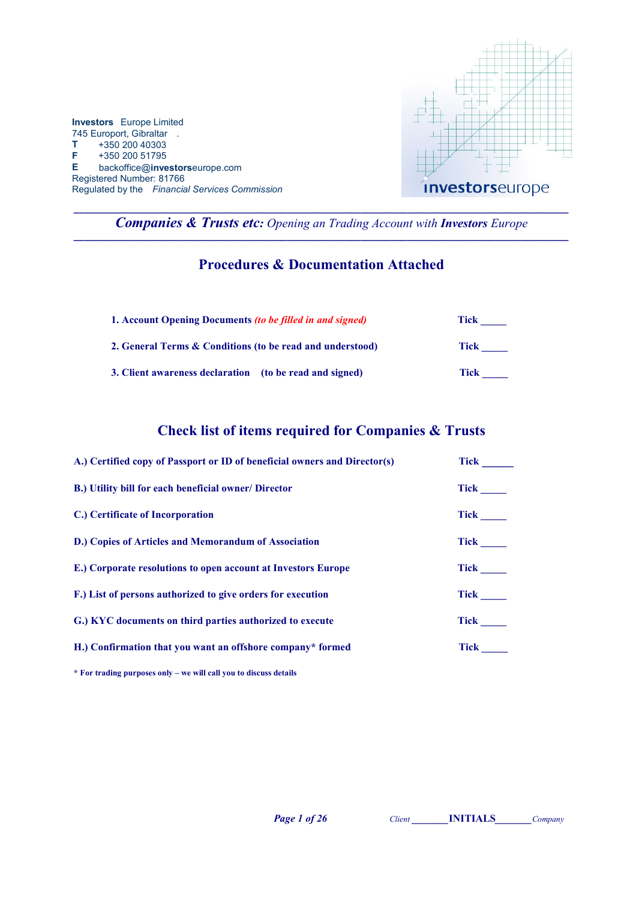

\_\_\_\_\_\_\_\_\_\_\_\_\_\_\_\_\_\_\_\_\_\_\_\_\_\_\_\_\_\_\_\_\_\_\_\_\_\_\_\_\_\_\_\_\_\_\_\_\_\_\_\_\_\_\_\_\_\_\_\_\_\_\_\_\_\_\_\_\_\_\_\_\_\_\_\_\_\_\_\_\_\_\_\_\_\_\_\_\_\_\_\_\_\_\_ Companies & Trusts etc: Opening an Trading Account with Investors Europe  $\_$  ,  $\_$  ,  $\_$  ,  $\_$  ,  $\_$  ,  $\_$  ,  $\_$  ,  $\_$  ,  $\_$  ,  $\_$  ,  $\_$  ,  $\_$  ,  $\_$  ,  $\_$  ,  $\_$  ,  $\_$  ,  $\_$  ,  $\_$  ,  $\_$  ,  $\_$ 

## Procedures & Documentation Attached

| 1. Account Opening Documents <i>(to be filled in and signed)</i> | Tick |
|------------------------------------------------------------------|------|
| 2. General Terms & Conditions (to be read and understood)        | Tick |
| 3. Client awareness declaration (to be read and signed)          | Tick |

# Check list of items required for Companies & Trusts

| A.) Certified copy of Passport or ID of beneficial owners and Director(s) | <b>Tick</b> |
|---------------------------------------------------------------------------|-------------|
| B.) Utility bill for each beneficial owner/ Director                      | <b>Tick</b> |
| C.) Certificate of Incorporation                                          | <b>Tick</b> |
| D.) Copies of Articles and Memorandum of Association                      | <b>Tick</b> |
| E.) Corporate resolutions to open account at Investors Europe             | <b>Tick</b> |
| F.) List of persons authorized to give orders for execution               | <b>Tick</b> |
| G.) KYC documents on third parties authorized to execute                  | <b>Tick</b> |
| H.) Confirmation that you want an offshore company* formed                | <b>Tick</b> |

\* For trading purposes only – we will call you to discuss details

Page 1 of 26 Client Client **NITIALS** Company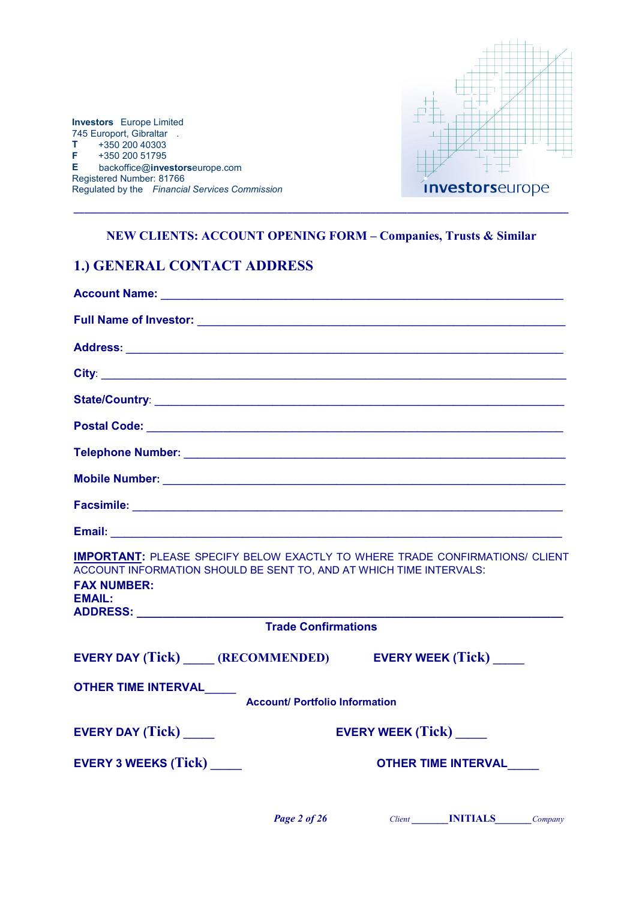

## NEW CLIENTS: ACCOUNT OPENING FORM – Companies, Trusts & Similar

\_\_\_\_\_\_\_\_\_\_\_\_\_\_\_\_\_\_\_\_\_\_\_\_\_\_\_\_\_\_\_\_\_\_\_\_\_\_\_\_\_\_\_\_\_\_\_\_\_\_\_\_\_\_\_\_\_\_\_\_\_\_\_\_\_\_\_\_\_\_\_\_\_\_\_\_\_\_\_\_\_\_\_\_\_\_\_\_\_\_\_\_\_\_\_

# 1.) GENERAL CONTACT ADDRESS

| <b>IMPORTANT: PLEASE SPECIFY BELOW EXACTLY TO WHERE TRADE CONFIRMATIONS/ CLIENT</b><br>ACCOUNT INFORMATION SHOULD BE SENT TO, AND AT WHICH TIME INTERVALS:<br><b>FAX NUMBER:</b><br><b>EMAIL:</b> |                            |
|---------------------------------------------------------------------------------------------------------------------------------------------------------------------------------------------------|----------------------------|
| <b>Trade Confirmations</b>                                                                                                                                                                        |                            |
| EVERY DAY (Tick) _____ (RECOMMENDED) EVERY WEEK (Tick) _____                                                                                                                                      |                            |
| OTHER TIME INTERVAL____<br><b>Account/ Portfolio Information</b>                                                                                                                                  |                            |
| <b>EVERY DAY (Tick)</b>                                                                                                                                                                           | <b>EVERY WEEK (Tick)</b>   |
| <b>EVERY 3 WEEKS (Tick)</b>                                                                                                                                                                       | <b>OTHER TIME INTERVAL</b> |
|                                                                                                                                                                                                   |                            |

Page 2 of 26 Client Client **NITIALS** Company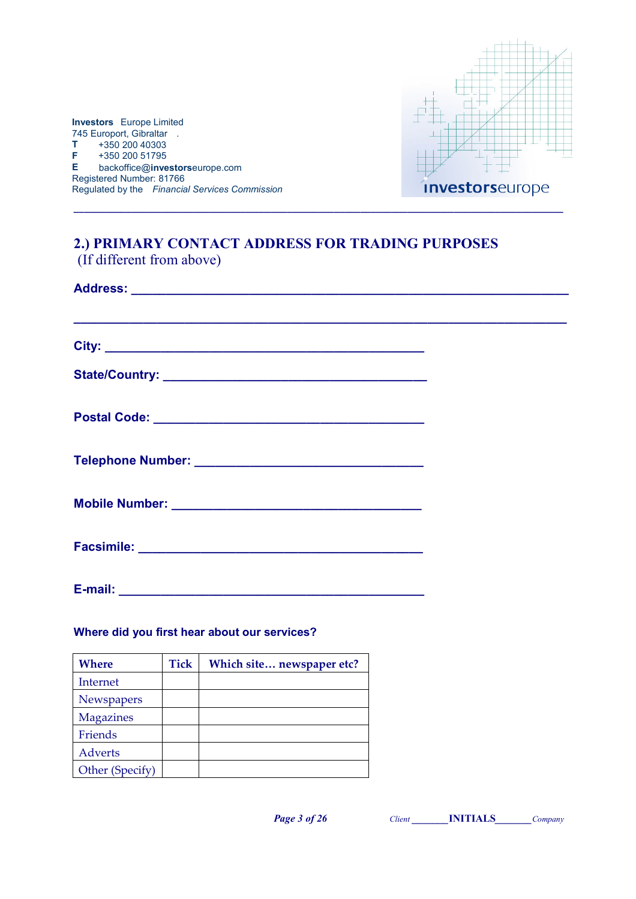

# 2.) PRIMARY CONTACT ADDRESS FOR TRADING PURPOSES (If different from above)

\_\_\_\_\_\_\_\_\_\_\_\_\_\_\_\_\_\_\_\_\_\_\_\_\_\_\_\_\_\_\_\_\_\_\_\_\_\_\_\_\_\_\_\_\_\_\_\_\_\_\_\_\_\_\_\_\_\_\_\_\_\_\_\_\_\_\_\_\_\_\_\_\_\_\_\_\_\_\_\_\_\_\_\_\_\_\_\_\_\_\_\_\_\_

| E-mail:<br><u> 1990 - James Barnett, politik e</u> ta eta alder |  |
|-----------------------------------------------------------------|--|

### Where did you first hear about our services?

| <b>Where</b>     | <b>Tick</b> | Which site newspaper etc? |
|------------------|-------------|---------------------------|
| Internet         |             |                           |
| Newspapers       |             |                           |
| <b>Magazines</b> |             |                           |
| Friends          |             |                           |
| Adverts          |             |                           |
| Other (Specify)  |             |                           |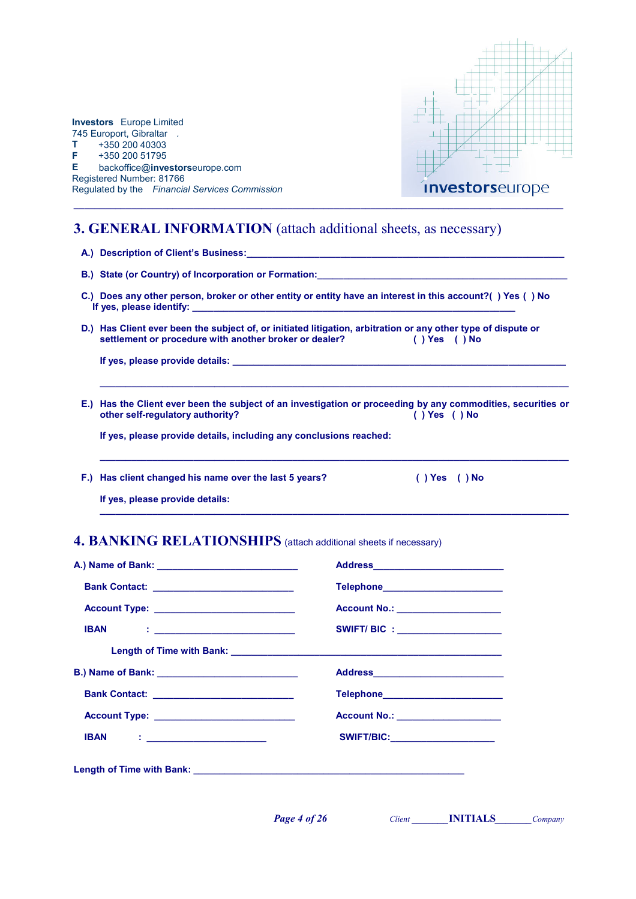

D.) Has Client ever been the subject of, or initiated litigation, arbitration or any other type of dispute or settlement or procedure with another broker or dealer? () Yes () No settlement or procedure with another broker or dealer?

If yes, please provide details:

E.) Has the Client ever been the subject of an investigation or proceeding by any commodities, securities or other self-regulatory authority? () Yes () No other self-regulatory authority?

\_\_\_\_\_\_\_\_\_\_\_\_\_\_\_\_\_\_\_\_\_\_\_\_\_\_\_\_\_\_\_\_\_\_\_\_\_\_\_\_\_\_\_\_\_\_\_\_\_\_\_\_\_\_\_\_\_\_\_\_\_\_\_\_\_\_\_\_\_\_\_\_\_\_\_\_\_\_\_\_\_\_\_\_\_\_\_\_\_\_

\_\_\_\_\_\_\_\_\_\_\_\_\_\_\_\_\_\_\_\_\_\_\_\_\_\_\_\_\_\_\_\_\_\_\_\_\_\_\_\_\_\_\_\_\_\_\_\_\_\_\_\_\_\_\_\_\_\_\_\_\_\_\_\_\_\_\_\_\_\_\_\_\_\_\_\_\_\_\_\_\_\_\_\_\_\_\_\_\_\_

 $\_$  , and the set of the set of the set of the set of the set of the set of the set of the set of the set of the set of the set of the set of the set of the set of the set of the set of the set of the set of the set of th

If yes, please provide details, including any conclusions reached:

F.) Has client changed his name over the last 5 years? ( ) Yes ( ) No

If yes, please provide details:

### 4. BANKING RELATIONSHIPS (attach additional sheets if necessary)

|                                        | Telephone________________________     |
|----------------------------------------|---------------------------------------|
|                                        | Account No.: ___________________      |
| <b>IBAN : ________________________</b> | SWIFT/ BIC : ____________________     |
|                                        |                                       |
|                                        | Address_____________________________  |
|                                        | Telephone__________________________   |
|                                        | Account No.: ________________________ |
| <b>IBAN : ____________________</b>     | SWIFT/BIC: _____________________      |
|                                        |                                       |

**Page 4 of 26** Client **INITIALS** Company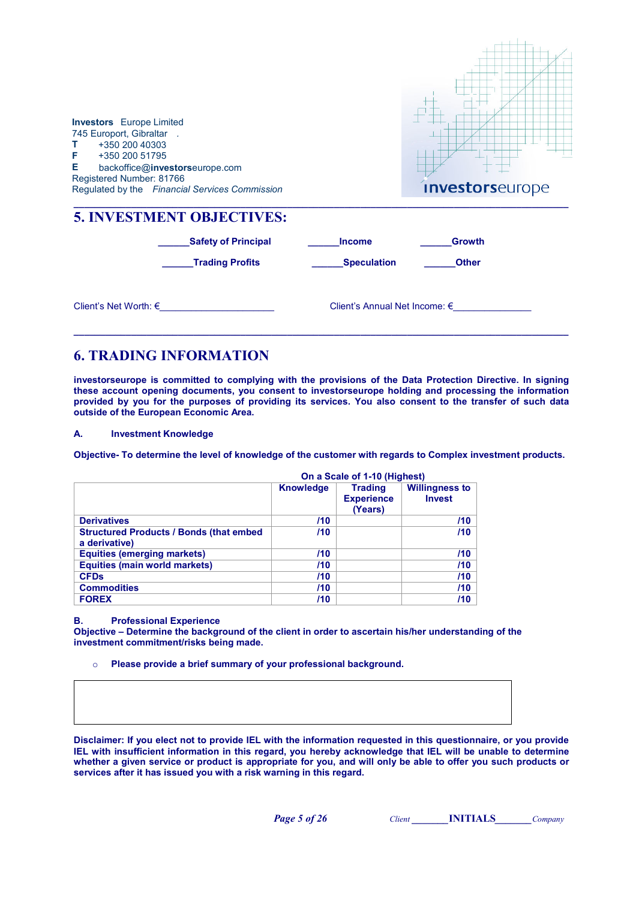| <b>Investors</b> Europe Limited<br>745 Europort, Gibraltar.<br>$T + 35020040303$<br>F +350 200 51795<br>E.<br>Registered Number: 81766 | backoffice@investorseurope.com<br>Regulated by the Financial Services Commission         |                                     | <b>Investorseurope</b>          |
|----------------------------------------------------------------------------------------------------------------------------------------|------------------------------------------------------------------------------------------|-------------------------------------|---------------------------------|
|                                                                                                                                        | <b>5. INVESTMENT OBJECTIVES:</b><br><b>Safety of Principal</b><br><b>Trading Profits</b> | <b>Income</b><br><b>Speculation</b> | <b>Growth</b><br><b>Other</b>   |
|                                                                                                                                        | Client's Net Worth: €                                                                    |                                     | Client's Annual Net Income: $€$ |

# 6. TRADING INFORMATION

investorseurope is committed to complying with the provisions of the Data Protection Directive. In signing these account opening documents, you consent to investorseurope holding and processing the information provided by you for the purposes of providing its services. You also consent to the transfer of such data outside of the European Economic Area.

A. Investment Knowledge

Objective- To determine the level of knowledge of the customer with regards to Complex investment products.

|                                                                  | On a Scale of 1-10 (Highest) |                                                |                                        |
|------------------------------------------------------------------|------------------------------|------------------------------------------------|----------------------------------------|
|                                                                  | <b>Knowledge</b>             | <b>Trading</b><br><b>Experience</b><br>(Years) | <b>Willingness to</b><br><b>Invest</b> |
| <b>Derivatives</b>                                               | 110                          |                                                | 110                                    |
| <b>Structured Products / Bonds (that embed)</b><br>a derivative) | 110                          |                                                | 110                                    |
| <b>Equities (emerging markets)</b>                               | /10                          |                                                | 110                                    |
| <b>Equities (main world markets)</b>                             | /10                          |                                                | 110                                    |
| <b>CFD<sub>s</sub></b>                                           | 110                          |                                                | 110                                    |
| <b>Commodities</b>                                               | 110                          |                                                | 110                                    |
| <b>FOREX</b>                                                     | /10                          |                                                | /10                                    |

### B. Professional Experience

Objective – Determine the background of the client in order to ascertain his/her understanding of the investment commitment/risks being made.

o Please provide a brief summary of your professional background.

Disclaimer: If you elect not to provide IEL with the information requested in this questionnaire, or you provide IEL with insufficient information in this regard, you hereby acknowledge that IEL will be unable to determine whether a given service or product is appropriate for you, and will only be able to offer you such products or services after it has issued you with a risk warning in this regard.

Page 5 of 26 Client INITIALS Company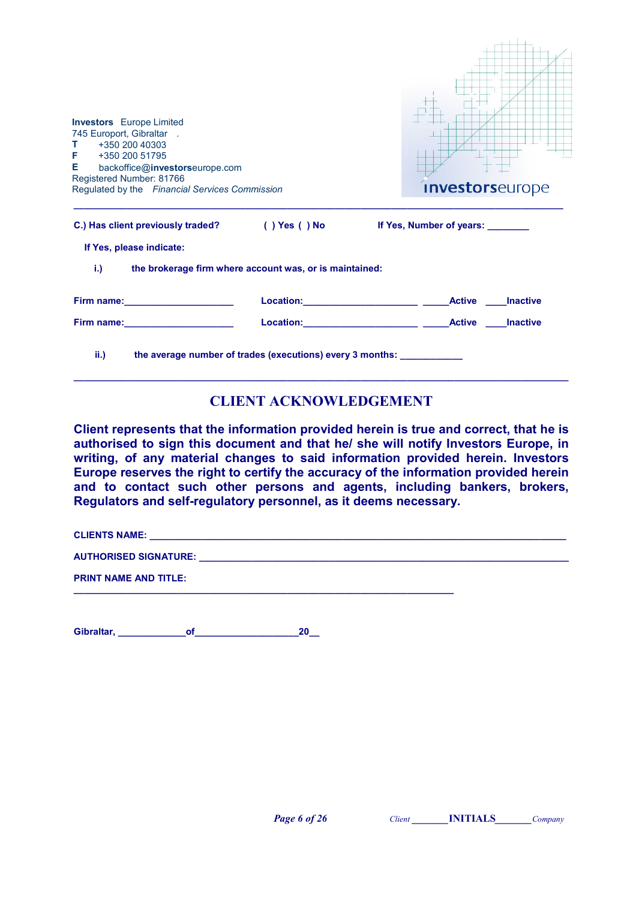| <b>Investors</b> Europe Limited<br>745 Europort, Gibraltar.<br>+350 200 40303<br>T.<br>+350 200 51795<br>F.<br>Е.<br>backoffice@investorseurope.com<br>Registered Number: 81766<br>Regulated by the Financial Services Commission   | <i>investorseurope</i>   |
|-------------------------------------------------------------------------------------------------------------------------------------------------------------------------------------------------------------------------------------|--------------------------|
| C.) Has client previously traded? (i) Yes (i) No                                                                                                                                                                                    | If Yes, Number of years: |
| If Yes, please indicate:                                                                                                                                                                                                            |                          |
| $i$ .)<br>the brokerage firm where account was, or is maintained:                                                                                                                                                                   |                          |
|                                                                                                                                                                                                                                     | <b>Active Inactive</b>   |
| <b>Firm name:</b> The contract of the contract of the contract of the contract of the contract of the contract of the contract of the contract of the contract of the contract of the contract of the contract of the contract of t | <b>Inactive</b>          |
| ii.<br>the average number of trades (executions) every 3 months: ___________                                                                                                                                                        |                          |

# CLIENT ACKNOWLEDGEMENT

Client represents that the information provided herein is true and correct, that he is authorised to sign this document and that he/ she will notify Investors Europe, in writing, of any material changes to said information provided herein. Investors Europe reserves the right to certify the accuracy of the information provided herein and to contact such other persons and agents, including bankers, brokers, Regulators and self-regulatory personnel, as it deems necessary.

CLIENTS NAME: \_\_\_\_\_\_\_\_\_\_\_\_\_\_\_\_\_\_\_\_\_\_\_\_\_\_\_\_\_\_\_\_\_\_\_\_\_\_\_\_\_\_\_\_\_\_\_\_\_\_\_\_\_\_\_\_\_\_\_\_\_\_\_\_\_\_\_\_\_\_\_\_\_\_\_\_\_\_\_\_

AUTHORISED SIGNATURE: \_\_\_\_\_\_\_\_\_\_\_\_\_\_\_\_\_\_\_\_\_\_\_\_\_\_\_\_\_\_\_\_\_\_\_\_\_\_\_\_\_\_\_\_\_\_\_\_\_\_\_\_\_\_\_\_\_\_\_\_\_\_\_\_\_\_\_\_\_\_\_

PRINT NAME AND TITLE:

Gibraltar, etc. of the contract of the contract of the contract of the contract of the contract of the contract of the contract of the contract of the contract of the contract of the contract of the contract of the contrac

\_\_\_\_\_\_\_\_\_\_\_\_\_\_\_\_\_\_\_\_\_\_\_\_\_\_\_\_\_\_\_\_\_\_\_\_\_\_\_\_\_\_\_\_\_\_\_\_\_\_\_\_\_\_\_\_\_\_\_\_\_\_\_\_\_\_\_\_\_\_\_\_\_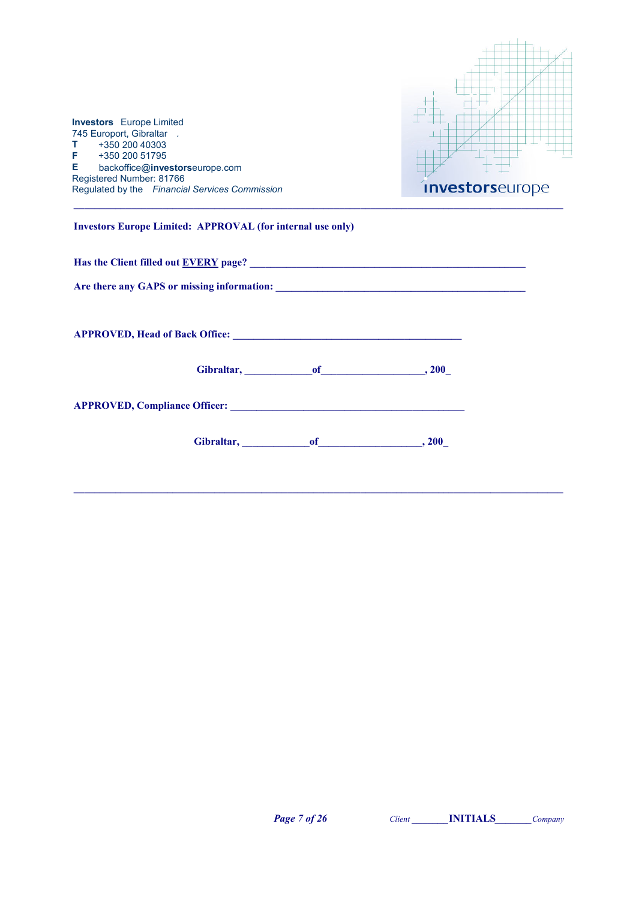| <b>Investors</b> Europe Limited<br>745 Europort, Gibraltar.<br>+350 200 40303<br>$\mathbf{T}$<br>$F + 35020051795$<br>E backoffice@investorseurope.com<br>Registered Number: 81766<br>Regulated by the Financial Services Commission | <i>investorseurope</i> |
|--------------------------------------------------------------------------------------------------------------------------------------------------------------------------------------------------------------------------------------|------------------------|
| <b>Investors Europe Limited: APPROVAL (for internal use only)</b>                                                                                                                                                                    |                        |
| Has the Client filled out EVERY page?<br><u>EVERY</u> page?                                                                                                                                                                          |                        |
|                                                                                                                                                                                                                                      |                        |
|                                                                                                                                                                                                                                      |                        |
| Gibraltar, of 300                                                                                                                                                                                                                    |                        |
| APPROVED, Compliance Officer: New York Contract of the Contract of the Contract of the Contract of the Contract of the Contract of the Contract of the Contract of the Contract of the Contract of the Contract of the Contrac       |                        |
| Gibraltar, of 300                                                                                                                                                                                                                    |                        |

\_\_\_\_\_\_\_\_\_\_\_\_\_\_\_\_\_\_\_\_\_\_\_\_\_\_\_\_\_\_\_\_\_\_\_\_\_\_\_\_\_\_\_\_\_\_\_\_\_\_\_\_\_\_\_\_\_\_\_\_\_\_\_\_\_\_\_\_\_\_\_\_\_\_\_\_\_\_\_\_\_\_\_\_\_\_\_\_\_\_\_\_\_\_

Page 7 of 26 Client **Client INITIALS** Company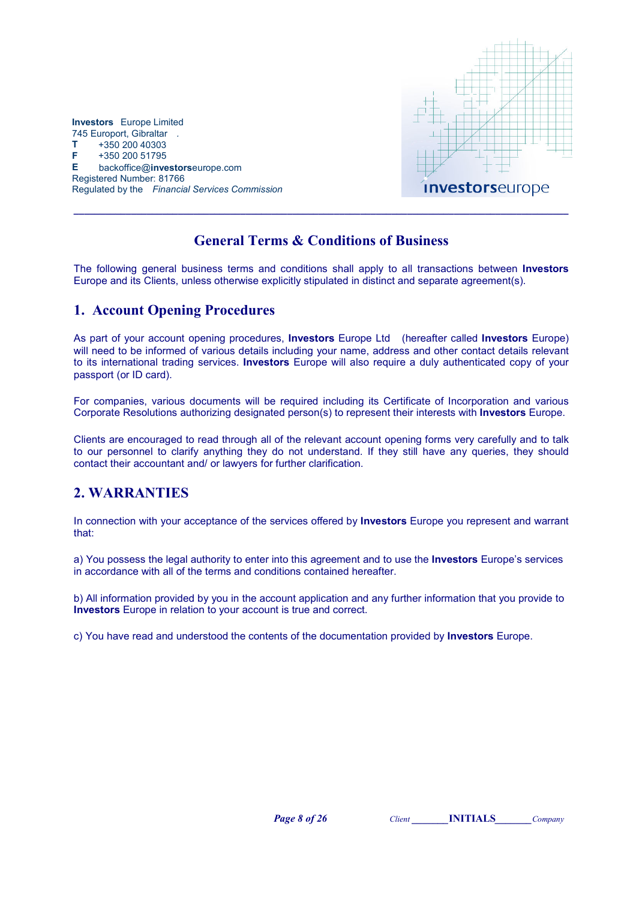

## General Terms & Conditions of Business

\_\_\_\_\_\_\_\_\_\_\_\_\_\_\_\_\_\_\_\_\_\_\_\_\_\_\_\_\_\_\_\_\_\_\_\_\_\_\_\_\_\_\_\_\_\_\_\_\_\_\_\_\_\_\_\_\_\_\_\_\_\_\_\_\_\_\_\_\_\_\_\_\_\_\_\_\_\_\_\_\_\_\_\_\_\_\_\_\_\_\_\_\_\_\_

The following general business terms and conditions shall apply to all transactions between Investors Europe and its Clients, unless otherwise explicitly stipulated in distinct and separate agreement(s).

### 1. Account Opening Procedures

As part of your account opening procedures, **Investors** Europe Ltd (hereafter called **Investors** Europe) will need to be informed of various details including your name, address and other contact details relevant to its international trading services. **Investors** Europe will also require a duly authenticated copy of your passport (or ID card).

For companies, various documents will be required including its Certificate of Incorporation and various Corporate Resolutions authorizing designated person(s) to represent their interests with Investors Europe.

Clients are encouraged to read through all of the relevant account opening forms very carefully and to talk to our personnel to clarify anything they do not understand. If they still have any queries, they should contact their accountant and/ or lawyers for further clarification.

# 2. WARRANTIES

In connection with your acceptance of the services offered by **Investors** Europe you represent and warrant that:

a) You possess the legal authority to enter into this agreement and to use the **Investors** Europe's services in accordance with all of the terms and conditions contained hereafter.

b) All information provided by you in the account application and any further information that you provide to Investors Europe in relation to your account is true and correct.

c) You have read and understood the contents of the documentation provided by Investors Europe.

**Page 8 of 26** Client **INITIALS** Company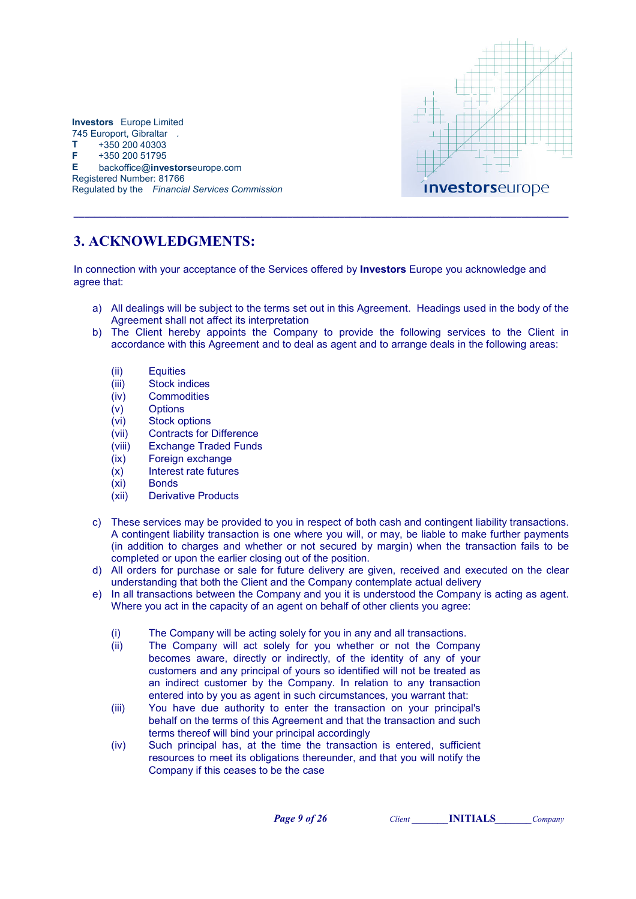

# 3. ACKNOWLEDGMENTS:

In connection with your acceptance of the Services offered by **Investors** Europe you acknowledge and agree that:

\_\_\_\_\_\_\_\_\_\_\_\_\_\_\_\_\_\_\_\_\_\_\_\_\_\_\_\_\_\_\_\_\_\_\_\_\_\_\_\_\_\_\_\_\_\_\_\_\_\_\_\_\_\_\_\_\_\_\_\_\_\_\_\_\_\_\_\_\_\_\_\_\_\_\_\_\_\_\_\_\_\_\_\_\_\_\_\_\_\_\_\_\_\_\_

- a) All dealings will be subject to the terms set out in this Agreement. Headings used in the body of the Agreement shall not affect its interpretation
- b) The Client hereby appoints the Company to provide the following services to the Client in accordance with this Agreement and to deal as agent and to arrange deals in the following areas:
	- (ii) Equities
	- (iii) Stock indices
	- (iv) Commodities
	- (v) Options
	- (vi) Stock options
	- (vii) Contracts for Difference
	- (viii) Exchange Traded Funds
	- (ix) Foreign exchange
	- (x) Interest rate futures
	- (xi) Bonds
	- (xii) Derivative Products
- c) These services may be provided to you in respect of both cash and contingent liability transactions. A contingent liability transaction is one where you will, or may, be liable to make further payments (in addition to charges and whether or not secured by margin) when the transaction fails to be completed or upon the earlier closing out of the position.
- d) All orders for purchase or sale for future delivery are given, received and executed on the clear understanding that both the Client and the Company contemplate actual delivery
- e) In all transactions between the Company and you it is understood the Company is acting as agent. Where you act in the capacity of an agent on behalf of other clients you agree:
	- (i) The Company will be acting solely for you in any and all transactions.
	- (ii) The Company will act solely for you whether or not the Company becomes aware, directly or indirectly, of the identity of any of your customers and any principal of yours so identified will not be treated as an indirect customer by the Company. In relation to any transaction entered into by you as agent in such circumstances, you warrant that:
	- (iii) You have due authority to enter the transaction on your principal's behalf on the terms of this Agreement and that the transaction and such terms thereof will bind your principal accordingly
	- (iv) Such principal has, at the time the transaction is entered, sufficient resources to meet its obligations thereunder, and that you will notify the Company if this ceases to be the case

**Page 9 of 26** Client **INITIALS** Company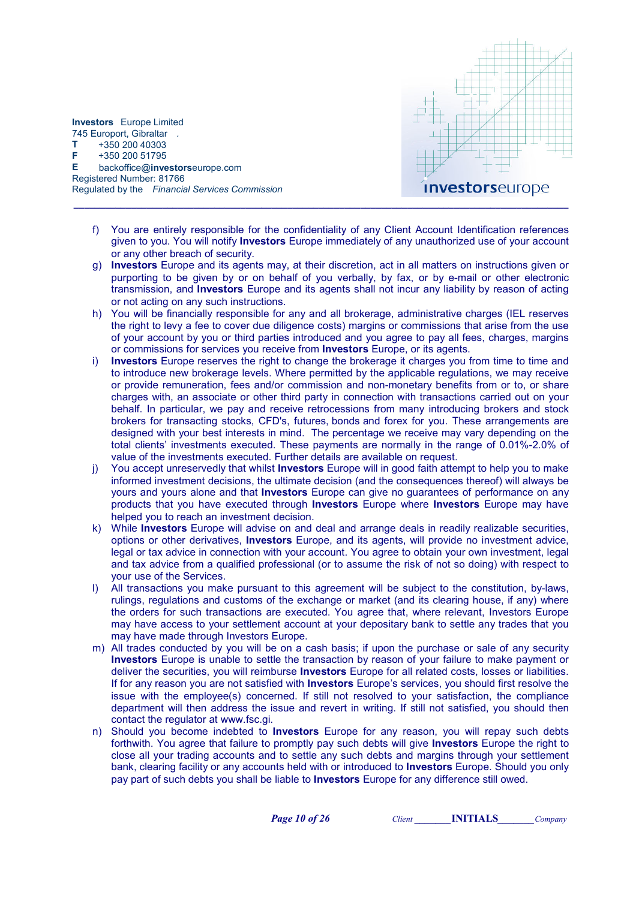

f) You are entirely responsible for the confidentiality of any Client Account Identification references given to you. You will notify Investors Europe immediately of any unauthorized use of your account or any other breach of security.

\_\_\_\_\_\_\_\_\_\_\_\_\_\_\_\_\_\_\_\_\_\_\_\_\_\_\_\_\_\_\_\_\_\_\_\_\_\_\_\_\_\_\_\_\_\_\_\_\_\_\_\_\_\_\_\_\_\_\_\_\_\_\_\_\_\_\_\_\_\_\_\_\_\_\_\_\_\_\_\_\_\_\_\_\_\_\_\_\_\_\_\_\_\_\_

- g) Investors Europe and its agents may, at their discretion, act in all matters on instructions given or purporting to be given by or on behalf of you verbally, by fax, or by e-mail or other electronic transmission, and Investors Europe and its agents shall not incur any liability by reason of acting or not acting on any such instructions.
- h) You will be financially responsible for any and all brokerage, administrative charges (IEL reserves the right to levy a fee to cover due diligence costs) margins or commissions that arise from the use of your account by you or third parties introduced and you agree to pay all fees, charges, margins or commissions for services you receive from Investors Europe, or its agents.
- i) Investors Europe reserves the right to change the brokerage it charges you from time to time and to introduce new brokerage levels. Where permitted by the applicable regulations, we may receive or provide remuneration, fees and/or commission and non-monetary benefits from or to, or share charges with, an associate or other third party in connection with transactions carried out on your behalf. In particular, we pay and receive retrocessions from many introducing brokers and stock brokers for transacting stocks, CFD's, futures, bonds and forex for you. These arrangements are designed with your best interests in mind. The percentage we receive may vary depending on the total clients' investments executed. These payments are normally in the range of 0.01%-2.0% of value of the investments executed. Further details are available on request.
- j) You accept unreservedly that whilst Investors Europe will in good faith attempt to help you to make informed investment decisions, the ultimate decision (and the consequences thereof) will always be yours and yours alone and that Investors Europe can give no guarantees of performance on any products that you have executed through Investors Europe where Investors Europe may have helped you to reach an investment decision.
- k) While Investors Europe will advise on and deal and arrange deals in readily realizable securities, options or other derivatives, Investors Europe, and its agents, will provide no investment advice, legal or tax advice in connection with your account. You agree to obtain your own investment, legal and tax advice from a qualified professional (or to assume the risk of not so doing) with respect to your use of the Services.
- l) All transactions you make pursuant to this agreement will be subject to the constitution, by-laws, rulings, regulations and customs of the exchange or market (and its clearing house, if any) where the orders for such transactions are executed. You agree that, where relevant, Investors Europe may have access to your settlement account at your depositary bank to settle any trades that you may have made through Investors Europe.
- m) All trades conducted by you will be on a cash basis; if upon the purchase or sale of any security Investors Europe is unable to settle the transaction by reason of your failure to make payment or deliver the securities, you will reimburse Investors Europe for all related costs, losses or liabilities. If for any reason you are not satisfied with **Investors** Europe's services, you should first resolve the issue with the employee(s) concerned. If still not resolved to your satisfaction, the compliance department will then address the issue and revert in writing. If still not satisfied, you should then contact the regulator at www.fsc.gi.
- n) Should you become indebted to **Investors** Europe for any reason, you will repay such debts forthwith. You agree that failure to promptly pay such debts will give **Investors** Europe the right to close all your trading accounts and to settle any such debts and margins through your settlement bank, clearing facility or any accounts held with or introduced to **Investors** Europe. Should you only pay part of such debts you shall be liable to **Investors** Europe for any difference still owed.

**Page 10 of 26** Client **INITIALS** Company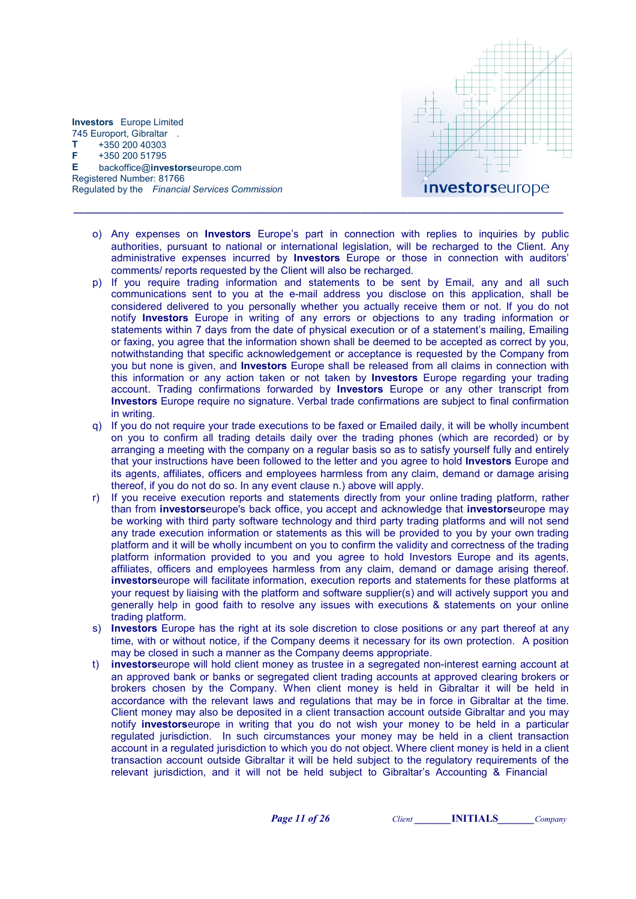

Registered Number: 81766 Regulated by the Financial Services Commission \_\_\_\_\_\_\_\_\_\_\_\_\_\_\_\_\_\_\_\_\_\_\_\_\_\_\_\_\_\_\_\_\_\_\_\_\_\_\_\_\_\_\_\_\_\_\_\_\_\_\_\_\_\_\_\_\_\_\_\_\_\_\_\_\_\_\_\_\_\_\_\_\_\_\_\_\_\_\_\_\_\_\_\_\_\_\_\_\_\_\_\_\_\_

Investors Europe Limited 745 Europort, Gibraltar .  $T + 35020040303$ F +350 200 51795

E backoffice@investorseurope.com

- o) Any expenses on Investors Europe's part in connection with replies to inquiries by public authorities, pursuant to national or international legislation, will be recharged to the Client. Any administrative expenses incurred by Investors Europe or those in connection with auditors' comments/ reports requested by the Client will also be recharged.
- p) If you require trading information and statements to be sent by Email, any and all such communications sent to you at the e-mail address you disclose on this application, shall be considered delivered to you personally whether you actually receive them or not. If you do not notify Investors Europe in writing of any errors or objections to any trading information or statements within 7 days from the date of physical execution or of a statement's mailing, Emailing or faxing, you agree that the information shown shall be deemed to be accepted as correct by you, notwithstanding that specific acknowledgement or acceptance is requested by the Company from you but none is given, and **Investors** Europe shall be released from all claims in connection with this information or any action taken or not taken by **Investors** Europe regarding your trading account. Trading confirmations forwarded by Investors Europe or any other transcript from Investors Europe require no signature. Verbal trade confirmations are subject to final confirmation in writing.
- q) If you do not require your trade executions to be faxed or Emailed daily, it will be wholly incumbent on you to confirm all trading details daily over the trading phones (which are recorded) or by arranging a meeting with the company on a regular basis so as to satisfy yourself fully and entirely that your instructions have been followed to the letter and you agree to hold Investors Europe and its agents, affiliates, officers and employees harmless from any claim, demand or damage arising thereof, if you do not do so. In any event clause n.) above will apply.
- r) If you receive execution reports and statements directly from your online trading platform, rather than from investorseurope's back office, you accept and acknowledge that investorseurope may be working with third party software technology and third party trading platforms and will not send any trade execution information or statements as this will be provided to you by your own trading platform and it will be wholly incumbent on you to confirm the validity and correctness of the trading platform information provided to you and you agree to hold Investors Europe and its agents, affiliates, officers and employees harmless from any claim, demand or damage arising thereof. investorseurope will facilitate information, execution reports and statements for these platforms at your request by liaising with the platform and software supplier(s) and will actively support you and generally help in good faith to resolve any issues with executions & statements on your online trading platform.
- s) Investors Europe has the right at its sole discretion to close positions or any part thereof at any time, with or without notice, if the Company deems it necessary for its own protection. A position may be closed in such a manner as the Company deems appropriate.
- t) investorseurope will hold client money as trustee in a segregated non-interest earning account at an approved bank or banks or segregated client trading accounts at approved clearing brokers or brokers chosen by the Company. When client money is held in Gibraltar it will be held in accordance with the relevant laws and regulations that may be in force in Gibraltar at the time. Client money may also be deposited in a client transaction account outside Gibraltar and you may notify investorseurope in writing that you do not wish your money to be held in a particular regulated jurisdiction. In such circumstances your money may be held in a client transaction account in a regulated jurisdiction to which you do not object. Where client money is held in a client transaction account outside Gibraltar it will be held subject to the regulatory requirements of the relevant jurisdiction, and it will not be held subject to Gibraltar's Accounting & Financial

Page 11 of 26 Client INITIALS Company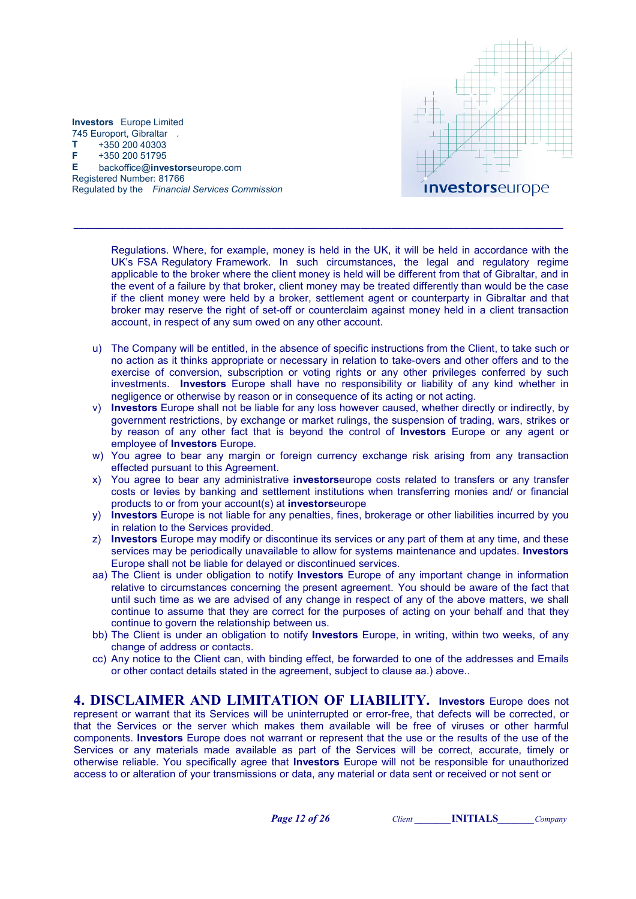

> Regulations. Where, for example, money is held in the UK, it will be held in accordance with the UK's FSA Regulatory Framework. In such circumstances, the legal and regulatory regime applicable to the broker where the client money is held will be different from that of Gibraltar, and in the event of a failure by that broker, client money may be treated differently than would be the case if the client money were held by a broker, settlement agent or counterparty in Gibraltar and that broker may reserve the right of set-off or counterclaim against money held in a client transaction account, in respect of any sum owed on any other account.

\_\_\_\_\_\_\_\_\_\_\_\_\_\_\_\_\_\_\_\_\_\_\_\_\_\_\_\_\_\_\_\_\_\_\_\_\_\_\_\_\_\_\_\_\_\_\_\_\_\_\_\_\_\_\_\_\_\_\_\_\_\_\_\_\_\_\_\_\_\_\_\_\_\_\_\_\_\_\_\_\_\_\_\_\_\_\_\_\_\_\_\_\_\_

- u) The Company will be entitled, in the absence of specific instructions from the Client, to take such or no action as it thinks appropriate or necessary in relation to take-overs and other offers and to the exercise of conversion, subscription or voting rights or any other privileges conferred by such investments. Investors Europe shall have no responsibility or liability of any kind whether in negligence or otherwise by reason or in consequence of its acting or not acting.
- v) Investors Europe shall not be liable for any loss however caused, whether directly or indirectly, by government restrictions, by exchange or market rulings, the suspension of trading, wars, strikes or by reason of any other fact that is beyond the control of **Investors** Europe or any agent or employee of Investors Europe.
- w) You agree to bear any margin or foreign currency exchange risk arising from any transaction effected pursuant to this Agreement.
- x) You agree to bear any administrative **investors** europe costs related to transfers or any transfer costs or levies by banking and settlement institutions when transferring monies and/ or financial products to or from your account(s) at investorseurope
- y) Investors Europe is not liable for any penalties, fines, brokerage or other liabilities incurred by you in relation to the Services provided.
- z) Investors Europe may modify or discontinue its services or any part of them at any time, and these services may be periodically unavailable to allow for systems maintenance and updates. **Investors** Europe shall not be liable for delayed or discontinued services.
- aa) The Client is under obligation to notify **Investors** Europe of any important change in information relative to circumstances concerning the present agreement. You should be aware of the fact that until such time as we are advised of any change in respect of any of the above matters, we shall continue to assume that they are correct for the purposes of acting on your behalf and that they continue to govern the relationship between us.
- bb) The Client is under an obligation to notify **Investors** Europe, in writing, within two weeks, of any change of address or contacts.
- cc) Any notice to the Client can, with binding effect, be forwarded to one of the addresses and Emails or other contact details stated in the agreement, subject to clause aa.) above..

4. DISCLAIMER AND LIMITATION OF LIABILITY. Investors Europe does not represent or warrant that its Services will be uninterrupted or error-free, that defects will be corrected, or that the Services or the server which makes them available will be free of viruses or other harmful components. Investors Europe does not warrant or represent that the use or the results of the use of the Services or any materials made available as part of the Services will be correct, accurate, timely or otherwise reliable. You specifically agree that Investors Europe will not be responsible for unauthorized access to or alteration of your transmissions or data, any material or data sent or received or not sent or

Page 12 of 26 Client INITIALS Company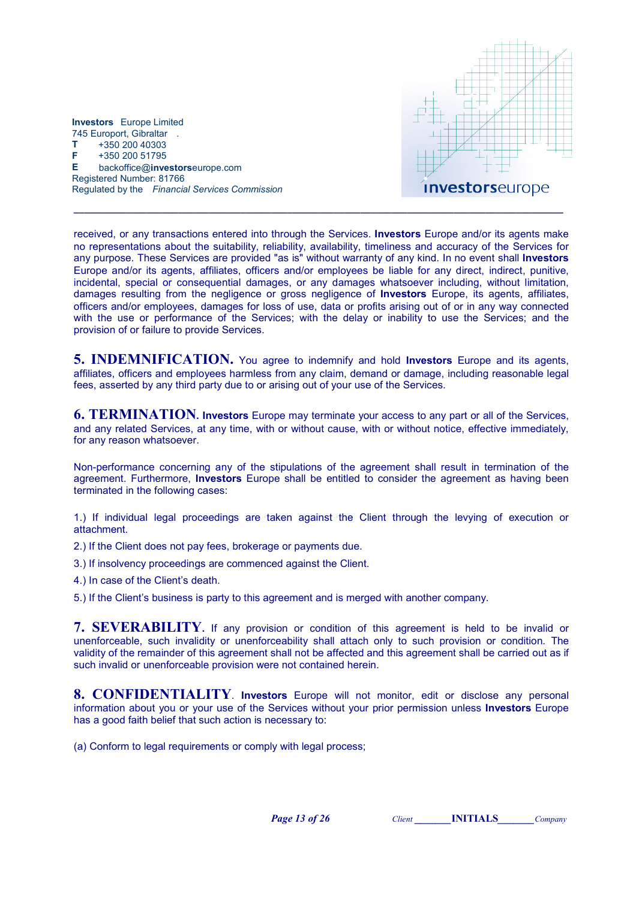

received, or any transactions entered into through the Services. Investors Europe and/or its agents make no representations about the suitability, reliability, availability, timeliness and accuracy of the Services for any purpose. These Services are provided "as is" without warranty of any kind. In no event shall Investors Europe and/or its agents, affiliates, officers and/or employees be liable for any direct, indirect, punitive, incidental, special or consequential damages, or any damages whatsoever including, without limitation, damages resulting from the negligence or gross negligence of Investors Europe, its agents, affiliates, officers and/or employees, damages for loss of use, data or profits arising out of or in any way connected with the use or performance of the Services; with the delay or inability to use the Services; and the provision of or failure to provide Services.

\_\_\_\_\_\_\_\_\_\_\_\_\_\_\_\_\_\_\_\_\_\_\_\_\_\_\_\_\_\_\_\_\_\_\_\_\_\_\_\_\_\_\_\_\_\_\_\_\_\_\_\_\_\_\_\_\_\_\_\_\_\_\_\_\_\_\_\_\_\_\_\_\_\_\_\_\_\_\_\_\_\_\_\_\_\_\_\_\_\_\_\_\_\_

**5. INDEMNIFICATION.** You agree to indemnify and hold **Investors** Europe and its agents, affiliates, officers and employees harmless from any claim, demand or damage, including reasonable legal fees, asserted by any third party due to or arising out of your use of the Services.

**6. TERMINATION. Investors** Europe may terminate your access to any part or all of the Services, and any related Services, at any time, with or without cause, with or without notice, effective immediately, for any reason whatsoever.

Non-performance concerning any of the stipulations of the agreement shall result in termination of the agreement. Furthermore, **Investors** Europe shall be entitled to consider the agreement as having been terminated in the following cases:

1.) If individual legal proceedings are taken against the Client through the levying of execution or attachment.

2.) If the Client does not pay fees, brokerage or payments due.

3.) If insolvency proceedings are commenced against the Client.

4.) In case of the Client's death.

5.) If the Client's business is party to this agreement and is merged with another company.

7. SEVERABILITY. If any provision or condition of this agreement is held to be invalid or unenforceable, such invalidity or unenforceability shall attach only to such provision or condition. The validity of the remainder of this agreement shall not be affected and this agreement shall be carried out as if such invalid or unenforceable provision were not contained herein.

8. CONFIDENTIALITY. Investors Europe will not monitor, edit or disclose any personal information about you or your use of the Services without your prior permission unless Investors Europe has a good faith belief that such action is necessary to:

(a) Conform to legal requirements or comply with legal process;

Page 13 of 26 Client INITIALS Company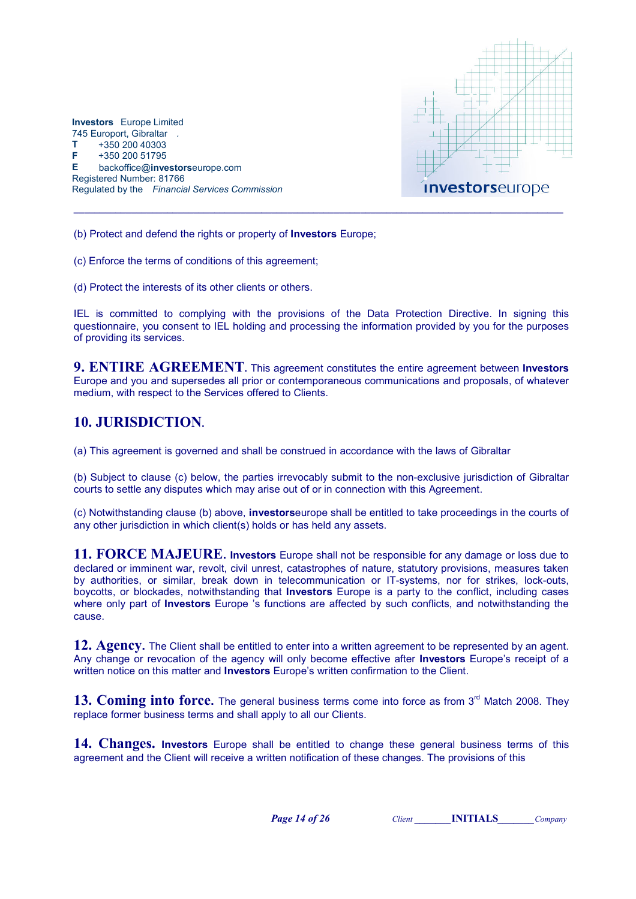

(b) Protect and defend the rights or property of Investors Europe;

(c) Enforce the terms of conditions of this agreement;

(d) Protect the interests of its other clients or others.

IEL is committed to complying with the provisions of the Data Protection Directive. In signing this questionnaire, you consent to IEL holding and processing the information provided by you for the purposes of providing its services.

**9. ENTIRE AGREEMENT.** This agreement constitutes the entire agreement between Investors Europe and you and supersedes all prior or contemporaneous communications and proposals, of whatever medium, with respect to the Services offered to Clients.

## 10. JURISDICTION.

(a) This agreement is governed and shall be construed in accordance with the laws of Gibraltar

(b) Subject to clause (c) below, the parties irrevocably submit to the non-exclusive jurisdiction of Gibraltar courts to settle any disputes which may arise out of or in connection with this Agreement.

(c) Notwithstanding clause (b) above, investorseurope shall be entitled to take proceedings in the courts of any other jurisdiction in which client(s) holds or has held any assets.

11. FORCE MAJEURE. Investors Europe shall not be responsible for any damage or loss due to declared or imminent war, revolt, civil unrest, catastrophes of nature, statutory provisions, measures taken by authorities, or similar, break down in telecommunication or IT-systems, nor for strikes, lock-outs, boycotts, or blockades, notwithstanding that Investors Europe is a party to the conflict, including cases where only part of **Investors** Europe 's functions are affected by such conflicts, and notwithstanding the cause.

12. Agency. The Client shall be entitled to enter into a written agreement to be represented by an agent. Any change or revocation of the agency will only become effective after **Investors** Europe's receipt of a written notice on this matter and **Investors** Europe's written confirmation to the Client.

13. Coming into force. The general business terms come into force as from  $3<sup>rd</sup>$  Match 2008. They replace former business terms and shall apply to all our Clients.

14. Changes. Investors Europe shall be entitled to change these general business terms of this agreement and the Client will receive a written notification of these changes. The provisions of this

Page 14 of 26 Client INITIALS Company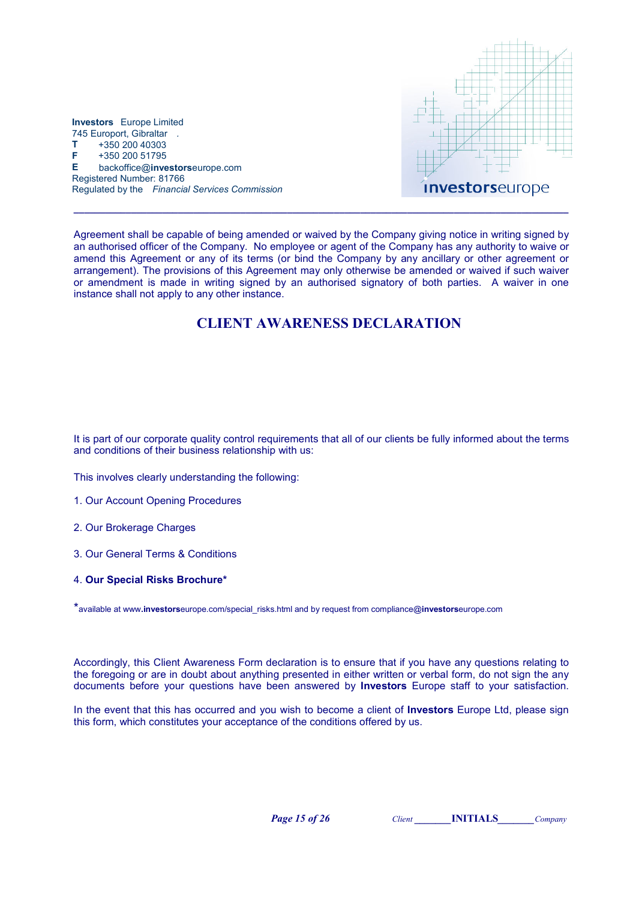

Agreement shall be capable of being amended or waived by the Company giving notice in writing signed by an authorised officer of the Company. No employee or agent of the Company has any authority to waive or amend this Agreement or any of its terms (or bind the Company by any ancillary or other agreement or arrangement). The provisions of this Agreement may only otherwise be amended or waived if such waiver or amendment is made in writing signed by an authorised signatory of both parties. A waiver in one instance shall not apply to any other instance.

\_\_\_\_\_\_\_\_\_\_\_\_\_\_\_\_\_\_\_\_\_\_\_\_\_\_\_\_\_\_\_\_\_\_\_\_\_\_\_\_\_\_\_\_\_\_\_\_\_\_\_\_\_\_\_\_\_\_\_\_\_\_\_\_\_\_\_\_\_\_\_\_\_\_\_\_\_\_\_\_\_\_\_\_\_\_\_\_\_\_\_\_\_\_\_

## CLIENT AWARENESS DECLARATION

It is part of our corporate quality control requirements that all of our clients be fully informed about the terms and conditions of their business relationship with us:

This involves clearly understanding the following:

- 1. Our Account Opening Procedures
- 2. Our Brokerage Charges
- 3. Our General Terms & Conditions
- 4. Our Special Risks Brochure\*

\*available at www.investorseurope.com/special\_risks.html and by request from compliance@investorseurope.com

Accordingly, this Client Awareness Form declaration is to ensure that if you have any questions relating to the foregoing or are in doubt about anything presented in either written or verbal form, do not sign the any documents before your questions have been answered by Investors Europe staff to your satisfaction.

In the event that this has occurred and you wish to become a client of **Investors** Europe Ltd, please sign this form, which constitutes your acceptance of the conditions offered by us.

**Page 15 of 26** Client **INITIALS** Company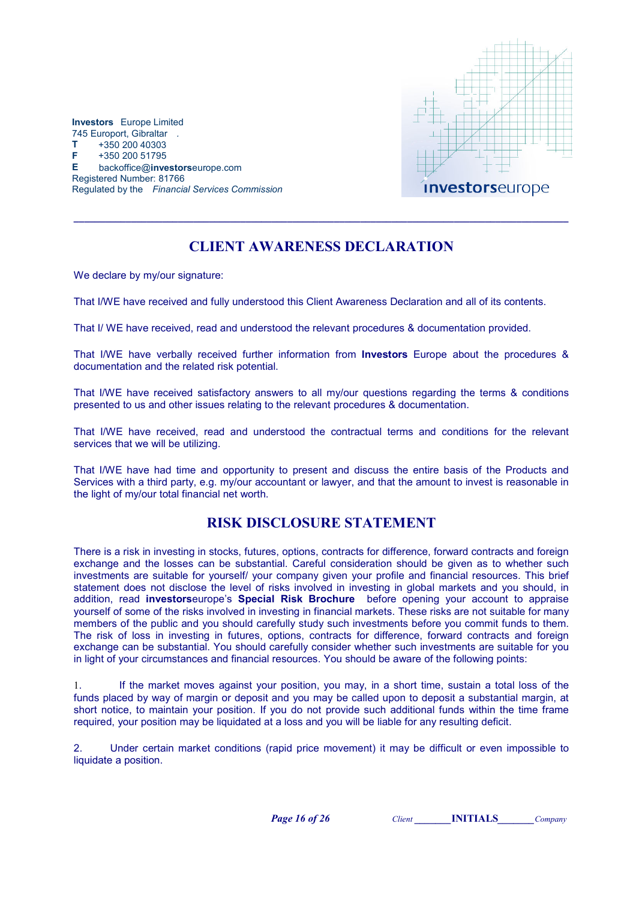

# CLIENT AWARENESS DECLARATION

\_\_\_\_\_\_\_\_\_\_\_\_\_\_\_\_\_\_\_\_\_\_\_\_\_\_\_\_\_\_\_\_\_\_\_\_\_\_\_\_\_\_\_\_\_\_\_\_\_\_\_\_\_\_\_\_\_\_\_\_\_\_\_\_\_\_\_\_\_\_\_\_\_\_\_\_\_\_\_\_\_\_\_\_\_\_\_\_\_\_\_\_\_\_\_

We declare by my/our signature:

That I/WE have received and fully understood this Client Awareness Declaration and all of its contents.

That I/ WE have received, read and understood the relevant procedures & documentation provided.

That I/WE have verbally received further information from Investors Europe about the procedures & documentation and the related risk potential.

That I/WE have received satisfactory answers to all my/our questions regarding the terms & conditions presented to us and other issues relating to the relevant procedures & documentation.

That I/WE have received, read and understood the contractual terms and conditions for the relevant services that we will be utilizing.

That I/WE have had time and opportunity to present and discuss the entire basis of the Products and Services with a third party, e.g. my/our accountant or lawyer, and that the amount to invest is reasonable in the light of my/our total financial net worth.

## RISK DISCLOSURE STATEMENT

There is a risk in investing in stocks, futures, options, contracts for difference, forward contracts and foreign exchange and the losses can be substantial. Careful consideration should be given as to whether such investments are suitable for yourself/ your company given your profile and financial resources. This brief statement does not disclose the level of risks involved in investing in global markets and you should, in addition, read investorseurope's Special Risk Brochure before opening your account to appraise yourself of some of the risks involved in investing in financial markets. These risks are not suitable for many members of the public and you should carefully study such investments before you commit funds to them. The risk of loss in investing in futures, options, contracts for difference, forward contracts and foreign exchange can be substantial. You should carefully consider whether such investments are suitable for you in light of your circumstances and financial resources. You should be aware of the following points:

1. If the market moves against your position, you may, in a short time, sustain a total loss of the funds placed by way of margin or deposit and you may be called upon to deposit a substantial margin, at short notice, to maintain your position. If you do not provide such additional funds within the time frame required, your position may be liquidated at a loss and you will be liable for any resulting deficit.

2. Under certain market conditions (rapid price movement) it may be difficult or even impossible to liquidate a position.

**Page 16 of 26** Client **INITIALS** Company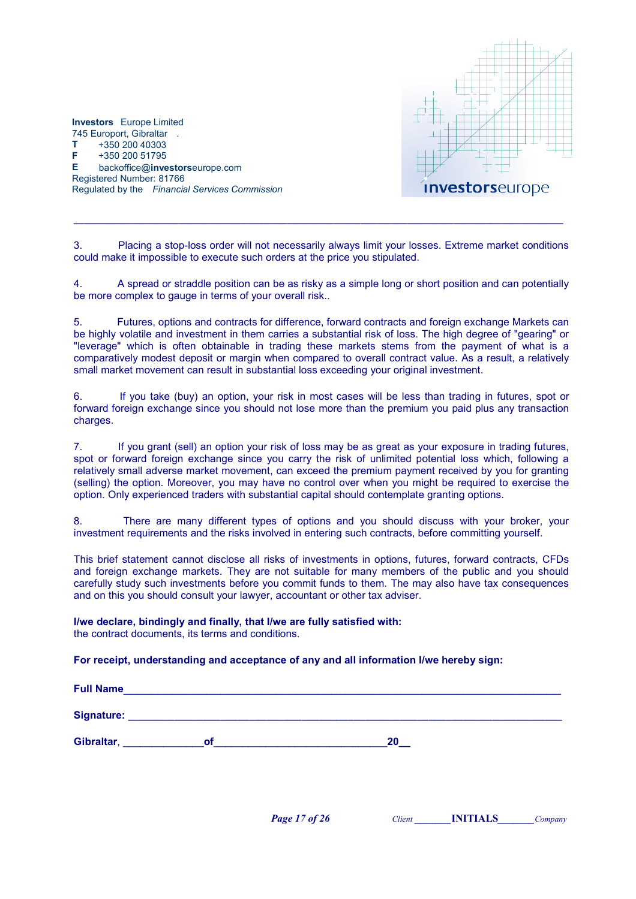

3. Placing a stop-loss order will not necessarily always limit your losses. Extreme market conditions could make it impossible to execute such orders at the price you stipulated.

\_\_\_\_\_\_\_\_\_\_\_\_\_\_\_\_\_\_\_\_\_\_\_\_\_\_\_\_\_\_\_\_\_\_\_\_\_\_\_\_\_\_\_\_\_\_\_\_\_\_\_\_\_\_\_\_\_\_\_\_\_\_\_\_\_\_\_\_\_\_\_\_\_\_\_\_\_\_\_\_\_\_\_\_\_\_\_\_\_\_\_\_\_\_

4. A spread or straddle position can be as risky as a simple long or short position and can potentially be more complex to gauge in terms of your overall risk..

5. Futures, options and contracts for difference, forward contracts and foreign exchange Markets can be highly volatile and investment in them carries a substantial risk of loss. The high degree of "gearing" or "leverage" which is often obtainable in trading these markets stems from the payment of what is a comparatively modest deposit or margin when compared to overall contract value. As a result, a relatively small market movement can result in substantial loss exceeding your original investment.

6. If you take (buy) an option, your risk in most cases will be less than trading in futures, spot or forward foreign exchange since you should not lose more than the premium you paid plus any transaction charges.

7. If you grant (sell) an option your risk of loss may be as great as your exposure in trading futures, spot or forward foreign exchange since you carry the risk of unlimited potential loss which, following a relatively small adverse market movement, can exceed the premium payment received by you for granting (selling) the option. Moreover, you may have no control over when you might be required to exercise the option. Only experienced traders with substantial capital should contemplate granting options.

8. There are many different types of options and you should discuss with your broker, your investment requirements and the risks involved in entering such contracts, before committing yourself.

This brief statement cannot disclose all risks of investments in options, futures, forward contracts, CFDs and foreign exchange markets. They are not suitable for many members of the public and you should carefully study such investments before you commit funds to them. The may also have tax consequences and on this you should consult your lawyer, accountant or other tax adviser.

I/we declare, bindingly and finally, that I/we are fully satisfied with: the contract documents, its terms and conditions.

### For receipt, understanding and acceptance of any and all information I/we hereby sign:

Full Name

Signature: \_\_\_\_\_\_\_\_\_\_\_\_\_\_\_\_\_\_\_\_\_\_\_\_\_\_\_\_\_\_\_\_\_\_\_\_\_\_\_\_\_\_\_\_\_\_\_\_\_\_\_\_\_\_\_\_\_\_\_\_\_\_\_\_\_\_\_\_\_\_\_\_\_\_\_

Gibraltar, etc. of the contract of the contract of the contract of the contract of the contract of the contract of the contract of the contract of the contract of the contract of the contract of the contract of the contrac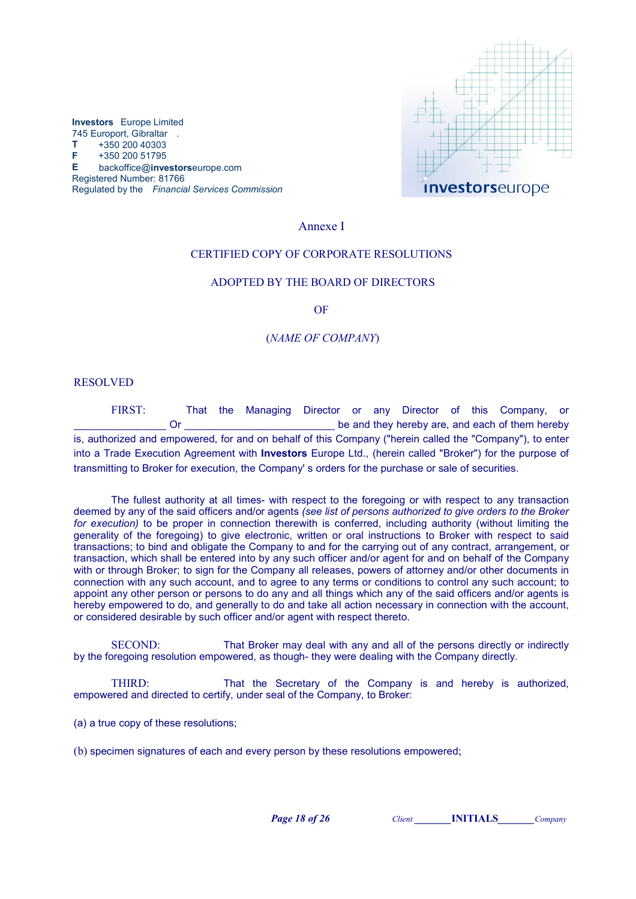



### Annexe I

### CERTIFIED COPY OF CORPORATE RESOLUTIONS

#### ADOPTED BY THE BOARD OF DIRECTORS

OF

#### (NAME OF COMPANY)

### RESOLVED

FIRST: That the Managing Director or any Director of this Company, or Or the contract of the state of the state of them hereby are, and each of them hereby is, authorized and empowered, for and on behalf of this Company ("herein called the "Company"), to enter into a Trade Execution Agreement with Investors Europe Ltd., (herein called "Broker") for the purpose of transmitting to Broker for execution, the Company' s orders for the purchase or sale of securities.

The fullest authority at all times- with respect to the foregoing or with respect to any transaction deemed by any of the said officers and/or agents (see list of persons authorized to give orders to the Broker for execution) to be proper in connection therewith is conferred, including authority (without limiting the generality of the foregoing) to give electronic, written or oral instructions to Broker with respect to said transactions; to bind and obligate the Company to and for the carrying out of any contract, arrangement, or transaction, which shall be entered into by any such officer and/or agent for and on behalf of the Company with or through Broker; to sign for the Company all releases, powers of attorney and/or other documents in connection with any such account, and to agree to any terms or conditions to control any such account; to appoint any other person or persons to do any and all things which any of the said officers and/or agents is hereby empowered to do, and generally to do and take all action necessary in connection with the account, or considered desirable by such officer and/or agent with respect thereto.

SECOND: That Broker may deal with any and all of the persons directly or indirectly by the foregoing resolution empowered, as though- they were dealing with the Company directly.

THIRD: That the Secretary of the Company is and hereby is authorized, empowered and directed to certify, under seal of the Company, to Broker:

(a) a true copy of these resolutions;

(b) specimen signatures of each and every person by these resolutions empowered;

Page 18 of 26 Client INITIALS Company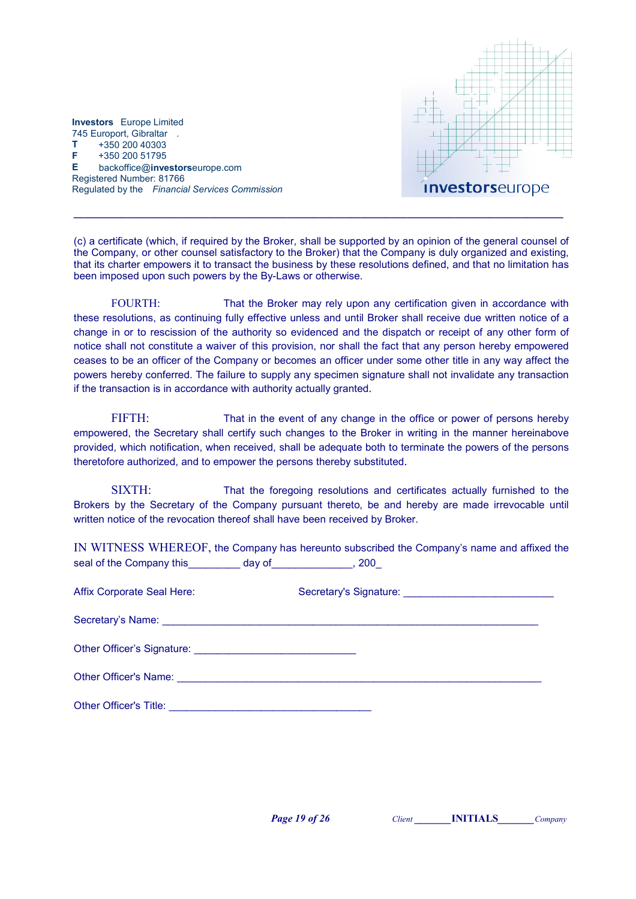

(c) a certificate (which, if required by the Broker, shall be supported by an opinion of the general counsel of the Company, or other counsel satisfactory to the Broker) that the Company is duly organized and existing, that its charter empowers it to transact the business by these resolutions defined, and that no limitation has been imposed upon such powers by the By-Laws or otherwise.

\_\_\_\_\_\_\_\_\_\_\_\_\_\_\_\_\_\_\_\_\_\_\_\_\_\_\_\_\_\_\_\_\_\_\_\_\_\_\_\_\_\_\_\_\_\_\_\_\_\_\_\_\_\_\_\_\_\_\_\_\_\_\_\_\_\_\_\_\_\_\_\_\_\_\_\_\_\_\_\_\_\_\_\_\_\_\_\_\_\_\_\_\_\_

FOURTH: That the Broker may rely upon any certification given in accordance with these resolutions, as continuing fully effective unless and until Broker shall receive due written notice of a change in or to rescission of the authority so evidenced and the dispatch or receipt of any other form of notice shall not constitute a waiver of this provision, nor shall the fact that any person hereby empowered ceases to be an officer of the Company or becomes an officer under some other title in any way affect the powers hereby conferred. The failure to supply any specimen signature shall not invalidate any transaction if the transaction is in accordance with authority actually granted.

FIFTH: That in the event of any change in the office or power of persons hereby empowered, the Secretary shall certify such changes to the Broker in writing in the manner hereinabove provided, which notification, when received, shall be adequate both to terminate the powers of the persons theretofore authorized, and to empower the persons thereby substituted.

SIXTH: That the foregoing resolutions and certificates actually furnished to the Brokers by the Secretary of the Company pursuant thereto, be and hereby are made irrevocable until written notice of the revocation thereof shall have been received by Broker.

IN WITNESS WHEREOF, the Company has hereunto subscribed the Company's name and affixed the seal of the Company this day of the Company this day of the Company this day of the seal of the Company this day of the seal of the Company this day of the seal of the Company this day of the seal of the Company this day o

| Affix Corporate Seal Here:    |  |
|-------------------------------|--|
|                               |  |
|                               |  |
|                               |  |
| <b>Other Officer's Title:</b> |  |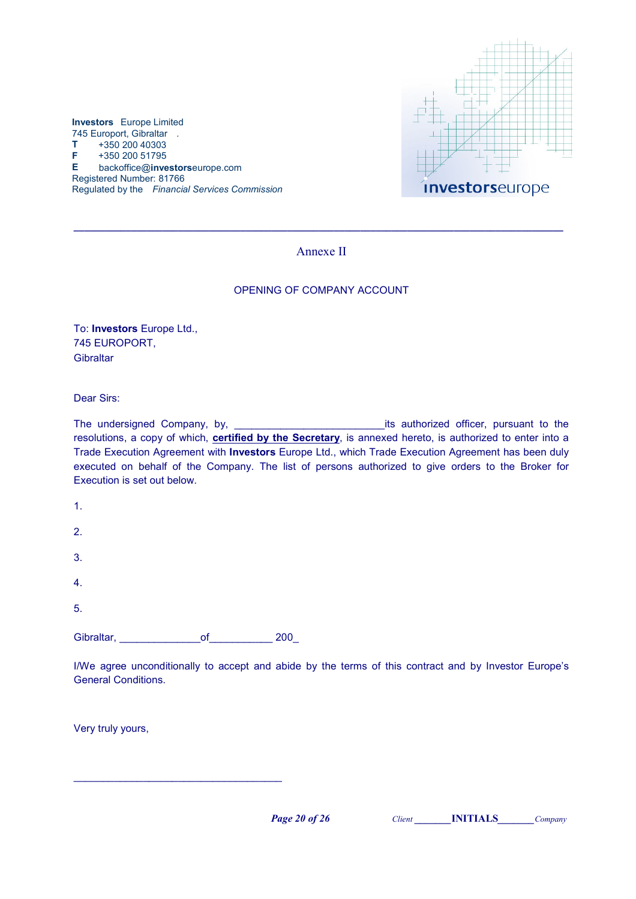

### Annexe II

 $\_$  ,  $\_$  ,  $\_$  ,  $\_$  ,  $\_$  ,  $\_$  ,  $\_$  ,  $\_$  ,  $\_$  ,  $\_$  ,  $\_$  ,  $\_$  ,  $\_$  ,  $\_$  ,  $\_$  ,  $\_$  ,  $\_$  ,  $\_$  ,  $\_$  ,  $\_$ 

### OPENING OF COMPANY ACCOUNT

To: Investors Europe Ltd., 745 EUROPORT, Gibraltar

Dear Sirs:

The undersigned Company, by, \_\_\_\_\_\_\_\_\_\_\_\_\_\_\_\_\_\_\_\_\_\_\_\_\_\_its authorized officer, pursuant to the resolutions, a copy of which, **certified by the Secretary**, is annexed hereto, is authorized to enter into a Trade Execution Agreement with Investors Europe Ltd., which Trade Execution Agreement has been duly executed on behalf of the Company. The list of persons authorized to give orders to the Broker for Execution is set out below.

| Gibraltar, | of | 200 |
|------------|----|-----|
| 5.         |    |     |
| 4.         |    |     |
| 3.         |    |     |
| 2.         |    |     |
| 1.         |    |     |

\_\_\_\_\_\_\_\_\_\_\_\_\_\_\_\_\_\_\_\_\_\_\_\_\_\_\_\_\_\_\_\_\_\_\_\_

I/We agree unconditionally to accept and abide by the terms of this contract and by Investor Europe's General Conditions.

Very truly yours,

Page 20 of 26 Client **NITIALS** Company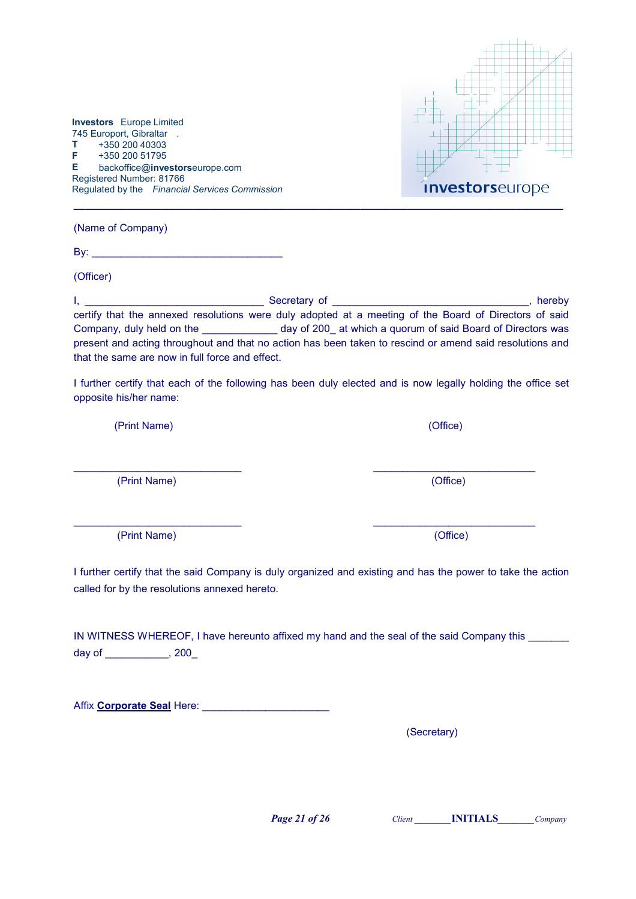

(Name of Company)

Investors Europe Limited 745 Europort, Gibraltar .  $T + 35020040303$ F +350 200 51795

Registered Number: 81766

E backoffice@investorseurope.com

Regulated by the Financial Services Commission

By: \_\_\_\_\_\_\_\_\_\_\_\_\_\_\_\_\_\_\_\_\_\_\_\_\_\_\_\_\_\_\_\_\_

(Officer)

I, \_\_\_\_\_\_\_\_\_\_\_\_\_\_\_\_\_\_\_\_\_\_\_\_\_\_\_\_\_\_\_ Secretary of \_\_\_\_\_\_\_\_\_\_\_\_\_\_\_\_\_\_\_\_\_\_\_\_\_\_\_\_\_\_\_\_\_\_, hereby certify that the annexed resolutions were duly adopted at a meeting of the Board of Directors of said Company, duly held on the \_\_\_\_\_\_\_\_\_\_\_\_\_ day of 200\_ at which a quorum of said Board of Directors was present and acting throughout and that no action has been taken to rescind or amend said resolutions and that the same are now in full force and effect.

I further certify that each of the following has been duly elected and is now legally holding the office set opposite his/her name:

(Print Name) (Office)

(Print Name) (Office)

(Print Name) (Office)

I further certify that the said Company is duly organized and existing and has the power to take the action called for by the resolutions annexed hereto.

 $\overline{\phantom{a}}$  , and the contribution of  $\overline{\phantom{a}}$  , and  $\overline{\phantom{a}}$  , and  $\overline{\phantom{a}}$  , and  $\overline{\phantom{a}}$  , and  $\overline{\phantom{a}}$  , and  $\overline{\phantom{a}}$ 

IN WITNESS WHEREOF, I have hereunto affixed my hand and the seal of the said Company this \_\_\_\_\_\_\_ day of \_\_\_\_\_\_\_\_\_\_\_, 200\_

Affix Corporate Seal Here: \_\_\_\_\_\_\_\_\_\_\_\_\_\_\_\_\_\_\_\_\_\_

(Secretary)

**Page 21 of 26** Client **INITIALS** Company

 $\overline{\phantom{a}}$  , and the contribution of  $\overline{\phantom{a}}$  , and  $\overline{\phantom{a}}$  , and  $\overline{\phantom{a}}$  , and  $\overline{\phantom{a}}$  , and  $\overline{\phantom{a}}$  , and  $\overline{\phantom{a}}$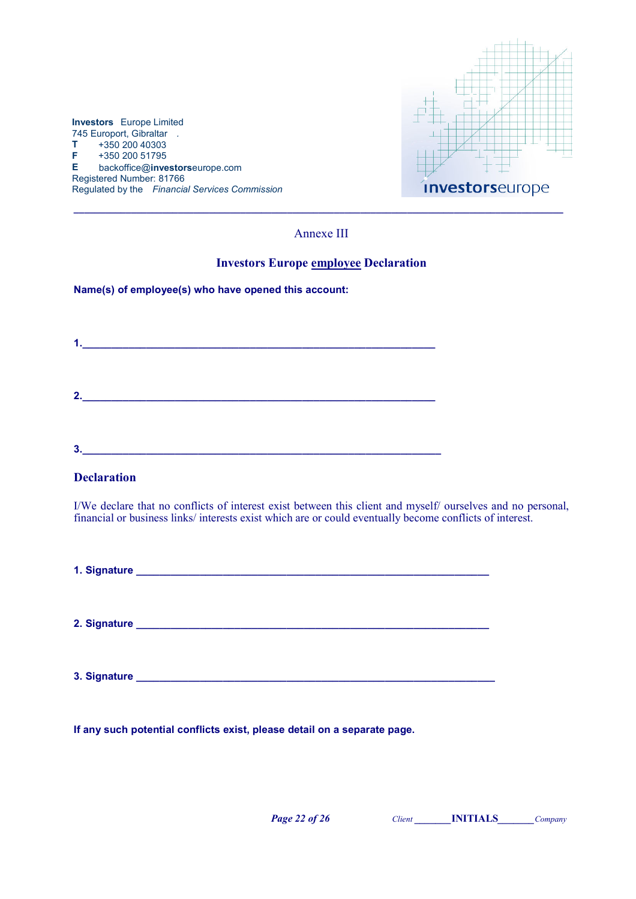

### Annexe III

### Investors Europe employee Declaration

Name(s) of employee(s) who have opened this account:

1.  $\Box$  . The contract of the contract of the contract of the contract of the contract of the contract of the contract of the contract of the contract of the contract of the contract of the contract of the contract of the  $2.$  $3.$ 

### **Declaration**

I/We declare that no conflicts of interest exist between this client and myself/ ourselves and no personal, financial or business links/ interests exist which are or could eventually become conflicts of interest.

1. Signature \_\_\_\_\_\_\_\_\_\_\_\_\_\_\_\_\_\_\_\_\_\_\_\_\_\_\_\_\_\_\_\_\_\_\_\_\_\_\_\_\_\_\_\_\_\_\_\_\_\_\_\_\_\_\_\_\_\_\_\_\_

2. Signature \_\_\_\_\_\_\_\_\_\_\_\_\_\_\_\_\_\_\_\_\_\_\_\_\_\_\_\_\_\_\_\_\_\_\_\_\_\_\_\_\_\_\_\_\_\_\_\_\_\_\_\_\_\_\_\_\_\_\_\_\_

3. Signature \_\_\_\_\_\_\_\_\_\_\_\_\_\_\_\_\_\_\_\_\_\_\_\_\_\_\_\_\_\_\_\_\_\_\_\_\_\_\_\_\_\_\_\_\_\_\_\_\_\_\_\_\_\_\_\_\_\_\_\_\_\_

If any such potential conflicts exist, please detail on a separate page.

Page 22 of 26 Client **NITIALS** Company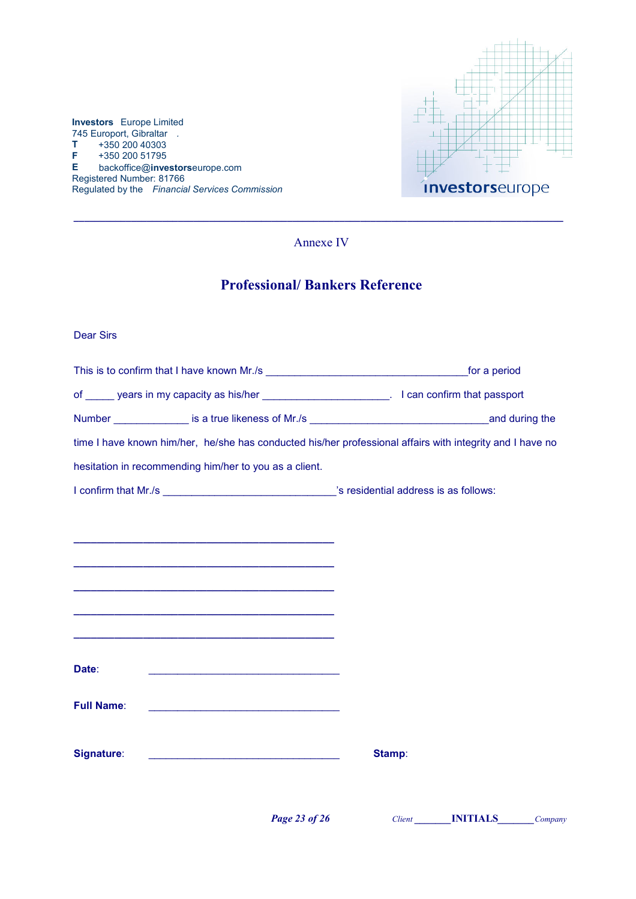

 $\_$  ,  $\_$  ,  $\_$  ,  $\_$  ,  $\_$  ,  $\_$  ,  $\_$  ,  $\_$  ,  $\_$  ,  $\_$  ,  $\_$  ,  $\_$  ,  $\_$  ,  $\_$  ,  $\_$  ,  $\_$  ,  $\_$  ,  $\_$  ,  $\_$  ,  $\_$ Annexe IV

# Professional/ Bankers Reference

### Dear Sirs

Investors Europe Limited 745 Europort, Gibraltar .<br>T +350 200 40303 +350 200 40303  $F + 350 200 51795$ <br>E backoffice@inve

Registered Number: 81766

| of ______ years in my capacity as his/her _________________________. I can confirm that passport          |        |
|-----------------------------------------------------------------------------------------------------------|--------|
|                                                                                                           |        |
| time I have known him/her, he/she has conducted his/her professional affairs with integrity and I have no |        |
| hesitation in recommending him/her to you as a client.                                                    |        |
|                                                                                                           |        |
|                                                                                                           |        |
|                                                                                                           |        |
|                                                                                                           |        |
|                                                                                                           |        |
|                                                                                                           |        |
|                                                                                                           |        |
| Date:                                                                                                     |        |
|                                                                                                           |        |
| <b>Full Name:</b>                                                                                         |        |
|                                                                                                           |        |
| Signature:<br><u> 1989 - Johann Barn, mars ann an t-Amhain ann an t-A</u>                                 | Stamp: |
|                                                                                                           |        |
|                                                                                                           |        |

Page 23 of 26 Client **NITIALS** Company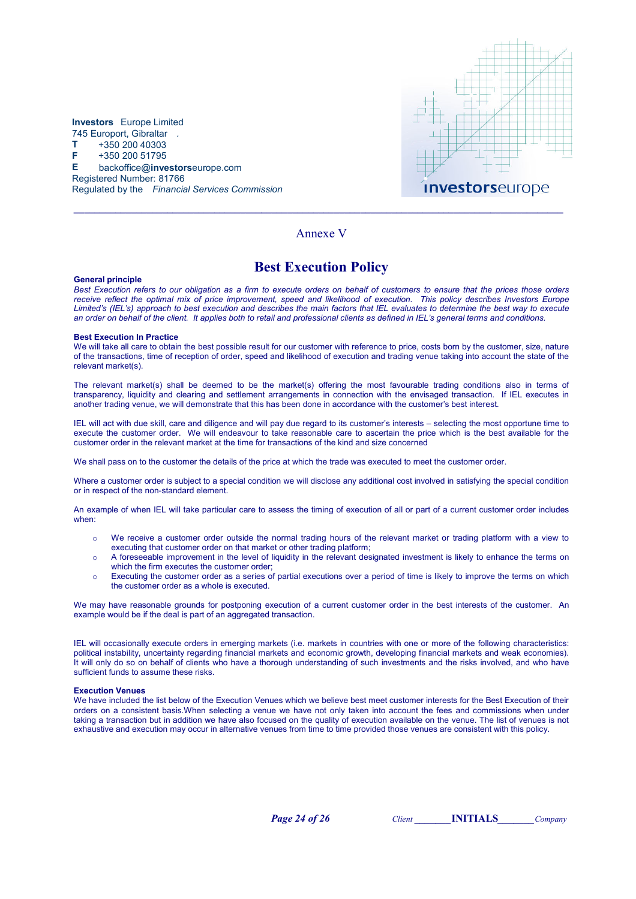



### Annexe V

### Best Execution Policy

#### General principle

Best Execution refers to our obligation as a firm to execute orders on behalf of customers to ensure that the prices those orders receive reflect the optimal mix of price improvement, speed and likelihood of execution. This policy describes Investors Europe Limited's (IEL's) approach to best execution and describes the main factors that IEL evaluates to determine the best way to execute an order on behalf of the client. It applies both to retail and professional clients as defined in IEL's general terms and conditions.

#### Best Execution In Practice

We will take all care to obtain the best possible result for our customer with reference to price, costs born by the customer, size, nature of the transactions, time of reception of order, speed and likelihood of execution and trading venue taking into account the state of the relevant market(s).

The relevant market(s) shall be deemed to be the market(s) offering the most favourable trading conditions also in terms of transparency, liquidity and clearing and settlement arrangements in connection with the envisaged transaction. If IEL executes in another trading venue, we will demonstrate that this has been done in accordance with the customer's best interest.

IEL will act with due skill, care and diligence and will pay due regard to its customer's interests – selecting the most opportune time to execute the customer order. We will endeavour to take reasonable care to ascertain the price which is the best available for the customer order in the relevant market at the time for transactions of the kind and size concerned

We shall pass on to the customer the details of the price at which the trade was executed to meet the customer order.

Where a customer order is subject to a special condition we will disclose any additional cost involved in satisfying the special condition or in respect of the non-standard element.

An example of when IEL will take particular care to assess the timing of execution of all or part of a current customer order includes when:

- o We receive a customer order outside the normal trading hours of the relevant market or trading platform with a view to executing that customer order on that market or other trading platform;
- o A foreseeable improvement in the level of liquidity in the relevant designated investment is likely to enhance the terms on which the firm executes the customer order;
- o Executing the customer order as a series of partial executions over a period of time is likely to improve the terms on which the customer order as a whole is executed.

We may have reasonable grounds for postponing execution of a current customer order in the best interests of the customer. An example would be if the deal is part of an aggregated transaction.

IEL will occasionally execute orders in emerging markets (i.e. markets in countries with one or more of the following characteristics: political instability, uncertainty regarding financial markets and economic growth, developing financial markets and weak economies). It will only do so on behalf of clients who have a thorough understanding of such investments and the risks involved, and who have sufficient funds to assume these risks.

#### Execution Venues

We have included the list below of the Execution Venues which we believe best meet customer interests for the Best Execution of their orders on a consistent basis.When selecting a venue we have not only taken into account the fees and commissions when under taking a transaction but in addition we have also focused on the quality of execution available on the venue. The list of venues is not exhaustive and execution may occur in alternative venues from time to time provided those venues are consistent with this policy.

Page 24 of 26 Client INITIALS Company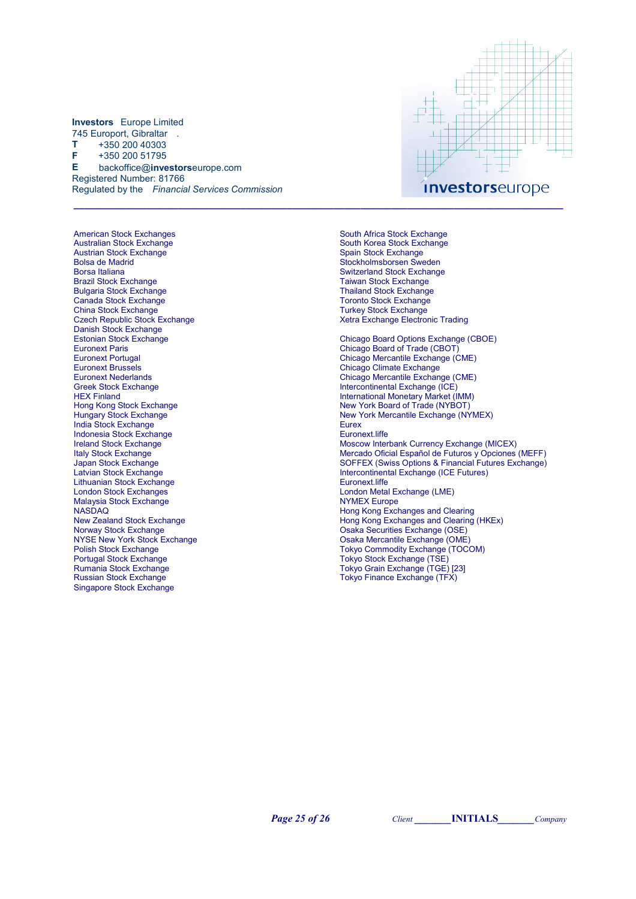American Stock Exchanges Australian Stock Exchange Austrian Stock Exchange Bolsa de Madrid Borsa Italiana Brazil Stock Exchange Bulgaria Stock Exchange Canada Stock Exchange China Stock Exchange Czech Republic Stock Exchange Danish Stock Exchange Estonian Stock Exchange Euronext Paris Euronext Portugal Euronext Brussels Euronext Nederlands Greek Stock Exchange HEX Finland Hong Kong Stock Exchange Hungary Stock Exchange India Stock Exchange Indonesia Stock Exchange Ireland Stock Exchange Italy Stock Exchange Japan Stock Exchange Latvian Stock Exchange Lithuanian Stock Exchange London Stock Exchanges Malaysia Stock Exchange **NASDAQ** New Zealand Stock Exchange Norway Stock Exchange NYSE New York Stock Exchange Polish Stock Exchange Portugal Stock Exchange Rumania Stock Exchange Russian Stock Exchange Singapore Stock Exchange



South Africa Stock Exchange South Korea Stock Exchange Spain Stock Exchange Stockholmsborsen Sweden Switzerland Stock Exchange Taiwan Stock Exchange Thailand Stock Exchange Toronto Stock Exchange Turkey Stock Exchange Xetra Exchange Electronic Trading Chicago Board Options Exchange (CBOE) Chicago Board of Trade (CBOT) Chicago Mercantile Exchange (CME) Chicago Climate Exchange Chicago Mercantile Exchange (CME) Intercontinental Exchange (ICE) International Monetary Market (IMM) New York Board of Trade (NYBOT) New York Mercantile Exchange (NYMEX) **Eurex** Euronext.liffe Moscow Interbank Currency Exchange (MICEX) Mercado Oficial Español de Futuros y Opciones (MEFF) SOFFEX (Swiss Options & Financial Futures Exchange) Intercontinental Exchange (ICE Futures) Euronext.liffe London Metal Exchange (LME) NYMEX Europe Hong Kong Exchanges and Clearing Hong Kong Exchanges and Clearing (HKEx) Osaka Securities Exchange (OSE) Osaka Mercantile Exchange (OME) Tokyo Commodity Exchange (TOCOM) Tokyo Stock Exchange (TSE) Tokyo Grain Exchange (TGE) [23] Tokyo Finance Exchange (TFX)

**Page 25 of 26** Client **INITIALS** Company